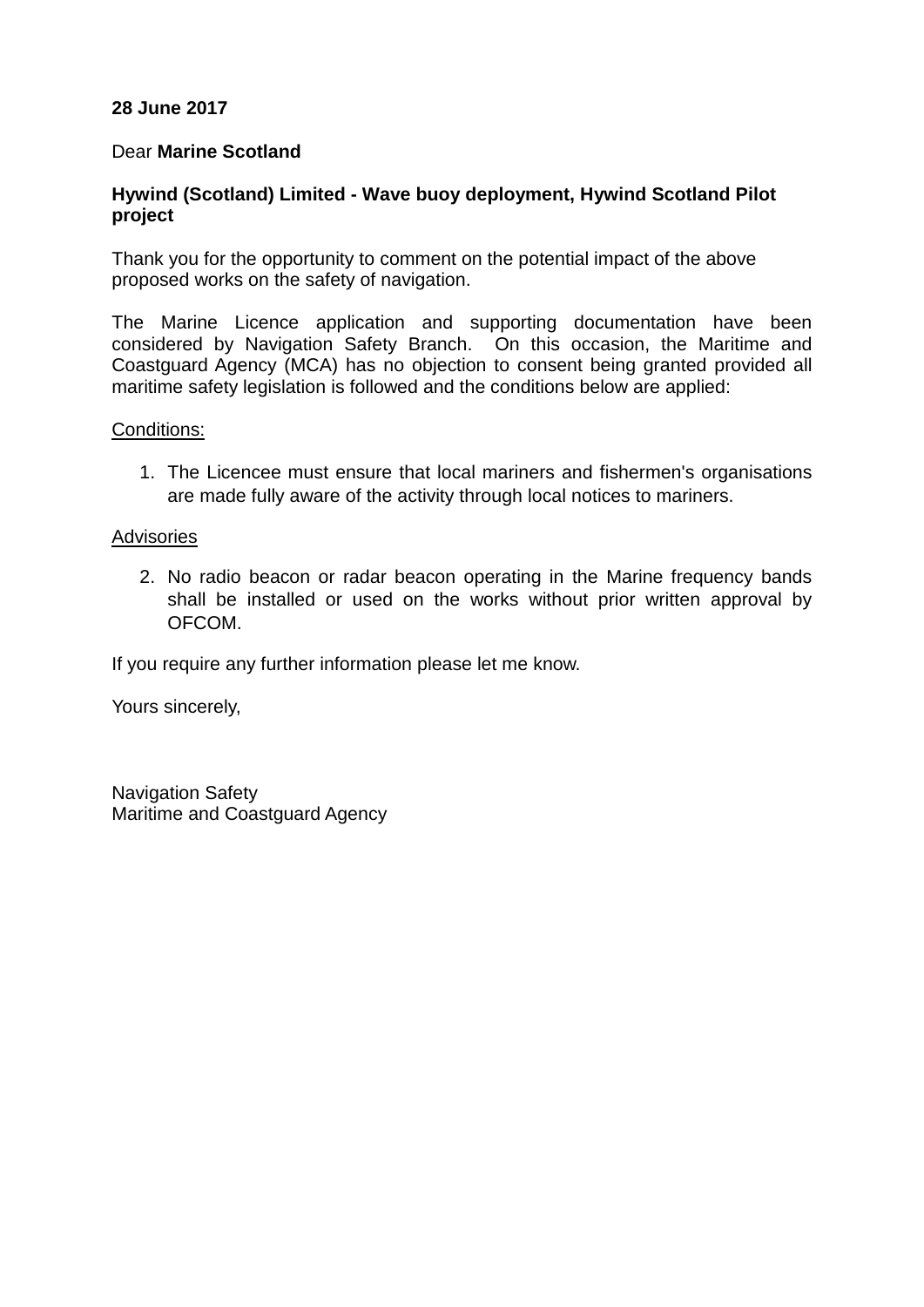# **28 June 2017**

## Dear **Marine Scotland**

# **Hywind (Scotland) Limited - Wave buoy deployment, Hywind Scotland Pilot project**

Thank you for the opportunity to comment on the potential impact of the above proposed works on the safety of navigation.

The Marine Licence application and supporting documentation have been considered by Navigation Safety Branch. On this occasion, the Maritime and Coastguard Agency (MCA) has no objection to consent being granted provided all maritime safety legislation is followed and the conditions below are applied:

### Conditions:

1. The Licencee must ensure that local mariners and fishermen's organisations are made fully aware of the activity through local notices to mariners.

### **Advisories**

2. No radio beacon or radar beacon operating in the Marine frequency bands shall be installed or used on the works without prior written approval by OFCOM.

If you require any further information please let me know.

Yours sincerely,

Navigation Safety Maritime and Coastguard Agency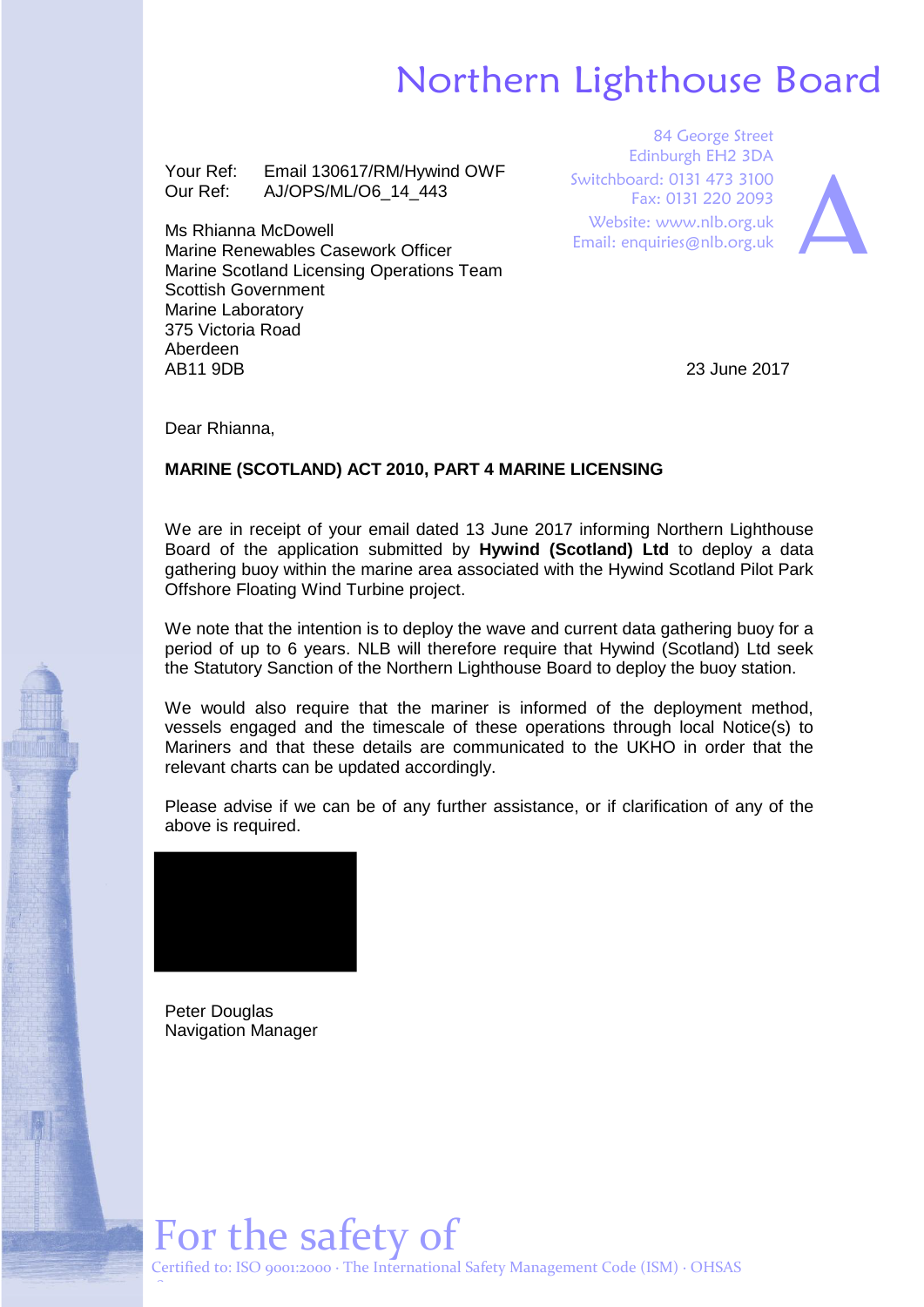# Northern Lighthouse Board

Your Ref: Email 130617/RM/Hywind OWF Our Ref: AJ/OPS/ML/O6\_14\_443

Ms Rhianna McDowell Marine Renewables Casework Officer Marine Scotland Licensing Operations Team Scottish Government Marine Laboratory 375 Victoria Road Aberdeen AB11 9DB

84 George Street Edinburgh EH2 3DA Switchboard: 0131 473 3100 Fax: 0131 220 2093 Website: www.nlb.org.uk Edinburgh EH2 3DA<br>
Switchboard: 0131 473 3100<br>
Fax: 0131 220 2093<br>
Website: www.nlb.org.uk<br>
Email: enquiries@nlb.org.uk



23 June 2017

Dear Rhianna,

### **MARINE (SCOTLAND) ACT 2010, PART 4 MARINE LICENSING**

We are in receipt of your email dated 13 June 2017 informing Northern Lighthouse Board of the application submitted by **Hywind (Scotland) Ltd** to deploy a data gathering buoy within the marine area associated with the Hywind Scotland Pilot Park Offshore Floating Wind Turbine project.

We note that the intention is to deploy the wave and current data gathering buoy for a period of up to 6 years. NLB will therefore require that Hywind (Scotland) Ltd seek the Statutory Sanction of the Northern Lighthouse Board to deploy the buoy station.

We would also require that the mariner is informed of the deployment method, vessels engaged and the timescale of these operations through local Notice(s) to Mariners and that these details are communicated to the UKHO in order that the relevant charts can be updated accordingly.

Please advise if we can be of any further assistance, or if clarification of any of the above is required.



Peter Douglas Navigation Manager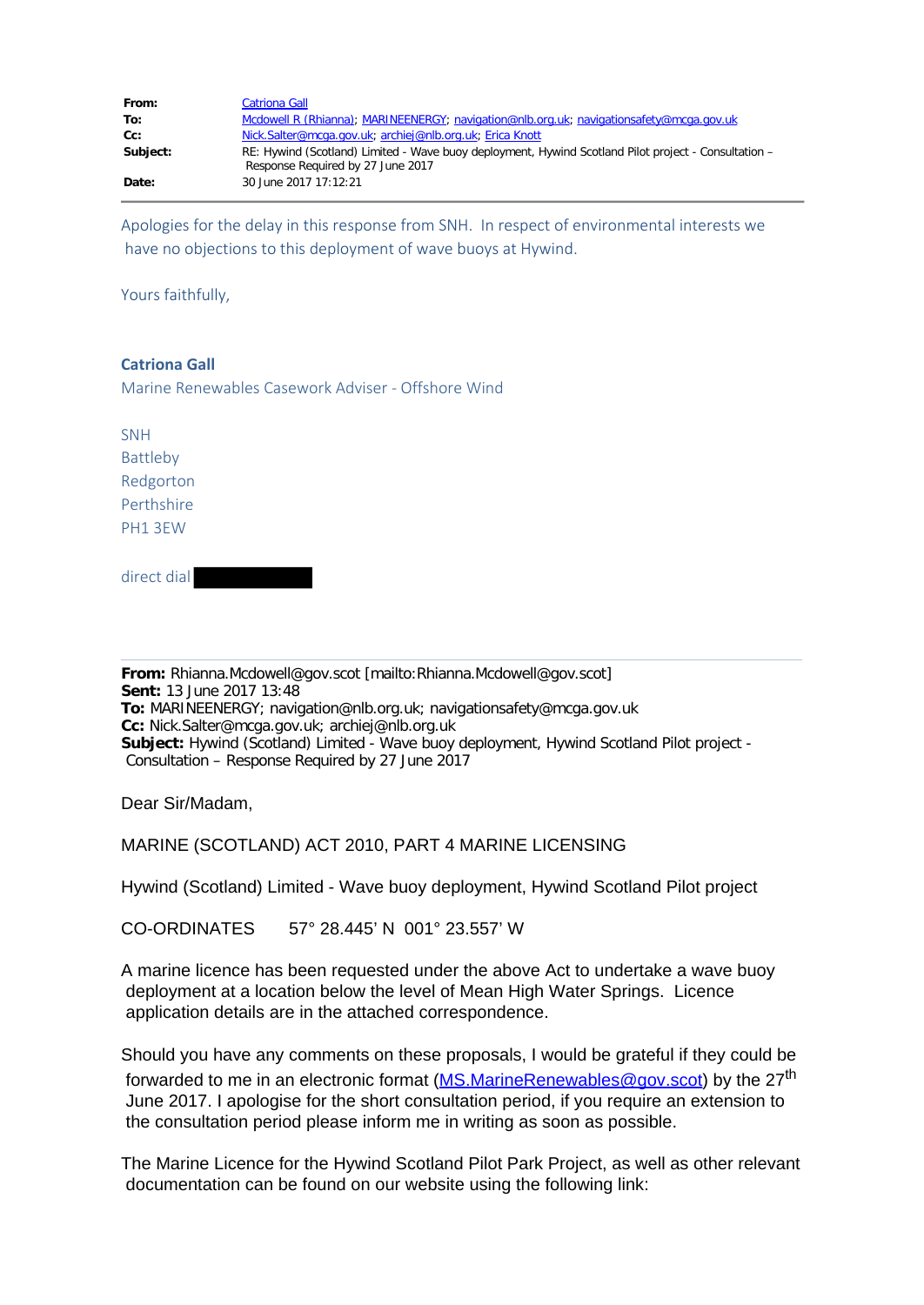| From:    | <b>Catriona Gall</b>                                                                                                                      |
|----------|-------------------------------------------------------------------------------------------------------------------------------------------|
| To:      | Mcdowell R (Rhianna); MARINEENERGY; navigation@nlb.org.uk; navigationsafety@mcga.gov.uk                                                   |
| Cc:      | Nick.Salter@mcga.gov.uk; archiej@nlb.org.uk; Erica Knott                                                                                  |
| Subject: | RE: Hywind (Scotland) Limited - Wave buoy deployment, Hywind Scotland Pilot project - Consultation -<br>Response Required by 27 June 2017 |
| Date:    | 30 June 2017 17:12:21                                                                                                                     |

Apologies for the delay in this response from SNH. In respect of environmental interests we have no objections to this deployment of wave buoys at Hywind.

Yours faithfully,

### **Catriona Gall**

Marine Renewables Casework Adviser - Offshore Wind

SNH Battleby Redgorton Perthshire PH1 3EW

direct dial

**From:** Rhianna.Mcdowell@gov.scot [mailto:Rhianna.Mcdowell@gov.scot] **Sent:** 13 June 2017 13:48 **To:** MARINEENERGY; navigation@nlb.org.uk; navigationsafety@mcga.gov.uk **Cc:** Nick.Salter@mcga.gov.uk; archiej@nlb.org.uk **Subject:** Hywind (Scotland) Limited - Wave buoy deployment, Hywind Scotland Pilot project - Consultation – Response Required by 27 June 2017

Dear Sir/Madam,

MARINE (SCOTLAND) ACT 2010, PART 4 MARINE LICENSING

Hywind (Scotland) Limited - Wave buoy deployment, Hywind Scotland Pilot project

CO-ORDINATES 57° 28.445' N 001° 23.557' W

A marine licence has been requested under the above Act to undertake a wave buoy deployment at a location below the level of Mean High Water Springs. Licence application details are in the attached correspondence.

Should you have any comments on these proposals, I would be grateful if they could be forwarded to me in an electronic format [\(MS.MarineRenewables@gov.scot\)](mailto:MS.MarineRenewables@gov.scot) by the 27<sup>th</sup> June 2017. I apologise for the short consultation period, if you require an extension to the consultation period please inform me in writing as soon as possible.

The Marine Licence for the Hywind Scotland Pilot Park Project, as well as other relevant documentation can be found on our website using the following link: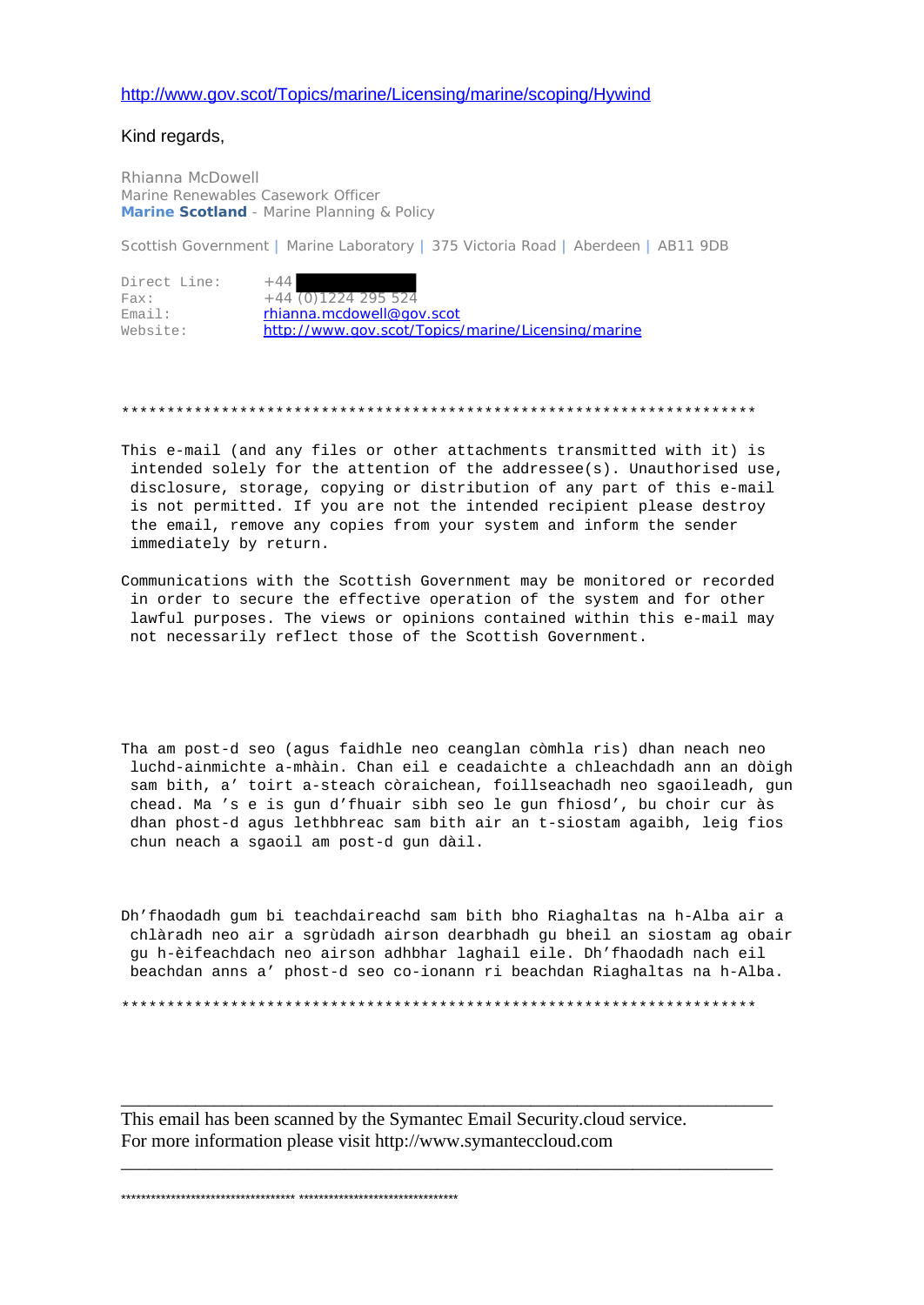### <http://www.gov.scot/Topics/marine/Licensing/marine/scoping/Hywind>

Kind regards,

Rhianna McDowell Marine Renewables Casework Officer **Marine Scotland** - Marine Planning & Policy

Scottish Government **|** Marine Laboratory **|** 375 Victoria Road **|** Aberdeen **|** AB11 9DB

| Direct Line: | $+44$                                              |
|--------------|----------------------------------------------------|
| Fax:         | $+44(0)1224295524$                                 |
| Email:       | rhianna.mcdowell@gov.scot                          |
| Website:     | http://www.gov.scot/Topics/marine/Licensing/marine |

#### \*\*\*\*\*\*\*\*\*\*\*\*\*\*\*\*\*\*\*\*\*\*\*\*\*\*\*\*\*\*\*\*\*\*\*\*\*\*\*\*\*\*\*\*\*\*\*\*\*\*\*\*\*\*\*\*\*\*\*\*\*\*\*\*\*\*\*\*\*\*

- This e-mail (and any files or other attachments transmitted with it) is intended solely for the attention of the addressee(s). Unauthorised use, disclosure, storage, copying or distribution of any part of this e-mail is not permitted. If you are not the intended recipient please destroy the email, remove any copies from your system and inform the sender immediately by return.
- Communications with the Scottish Government may be monitored or recorded in order to secure the effective operation of the system and for other lawful purposes. The views or opinions contained within this e-mail may not necessarily reflect those of the Scottish Government.
- Tha am post-d seo (agus faidhle neo ceanglan còmhla ris) dhan neach neo luchd-ainmichte a-mhàin. Chan eil e ceadaichte a chleachdadh ann an dòigh sam bith, a' toirt a-steach còraichean, foillseachadh neo sgaoileadh, gun chead. Ma 's e is gun d'fhuair sibh seo le gun fhiosd', bu choir cur às dhan phost-d agus lethbhreac sam bith air an t-siostam agaibh, leig fios chun neach a sgaoil am post-d gun dàil.
- Dh'fhaodadh gum bi teachdaireachd sam bith bho Riaghaltas na h-Alba air a chlàradh neo air a sgrùdadh airson dearbhadh gu bheil an siostam ag obair gu h-èifeachdach neo airson adhbhar laghail eile. Dh'fhaodadh nach eil beachdan anns a' phost-d seo co-ionann ri beachdan Riaghaltas na h-Alba.

\*\*\*\*\*\*\*\*\*\*\*\*\*\*\*\*\*\*\*\*\*\*\*\*\*\*\*\*\*\*\*\*\*\*\*\*\*\*\*\*\*\*\*\*\*\*\*\*\*\*\*\*\*\*\*\*\*\*\*\*\*\*\*\*\*\*\*\*\*\*

\_\_\_\_\_\_\_\_\_\_\_\_\_\_\_\_\_\_\_\_\_\_\_\_\_\_\_\_\_\_\_\_\_\_\_\_\_\_\_\_\_\_\_\_\_\_\_\_\_\_\_\_\_\_\_\_\_\_\_\_\_\_\_\_\_\_\_\_\_\_

\_\_\_\_\_\_\_\_\_\_\_\_\_\_\_\_\_\_\_\_\_\_\_\_\_\_\_\_\_\_\_\_\_\_\_\_\_\_\_\_\_\_\_\_\_\_\_\_\_\_\_\_\_\_\_\_\_\_\_\_\_\_\_\_\_\_\_\_\_\_

This email has been scanned by the Symantec Email Security.cloud service. For more information please visit http://www.symanteccloud.com

\*\*\*\*\*\*\*\*\*\*\*\*\*\*\*\*\*\*\*\*\*\*\*\*\*\*\*\*\*\*\*\*\*\*\* \*\*\*\*\*\*\*\*\*\*\*\*\*\*\*\*\*\*\*\*\*\*\*\*\*\*\*\*\*\*\*\*